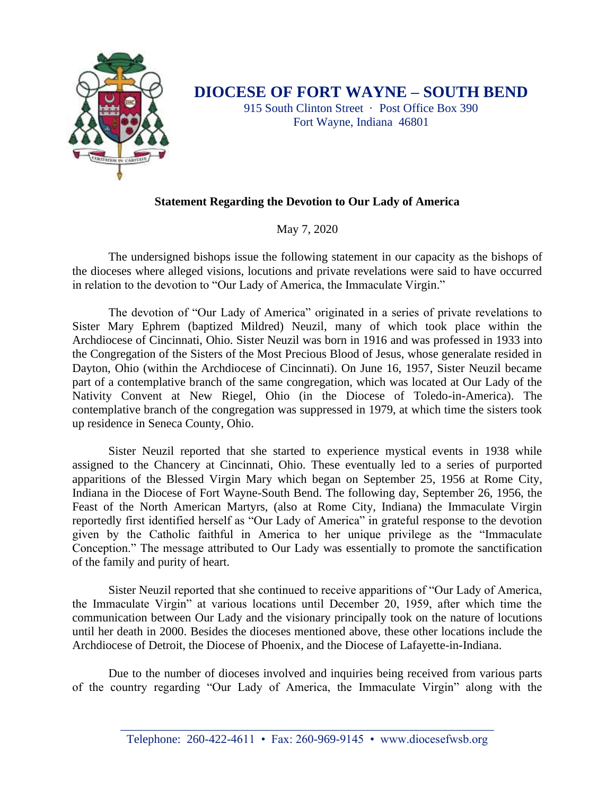

## **DIOCESE OF FORT WAYNE – SOUTH BEND**

915 South Clinton Street · Post Office Box 390 Fort Wayne, Indiana 46801

## **Statement Regarding the Devotion to Our Lady of America**

May 7, 2020

The undersigned bishops issue the following statement in our capacity as the bishops of the dioceses where alleged visions, locutions and private revelations were said to have occurred in relation to the devotion to "Our Lady of America, the Immaculate Virgin."

The devotion of "Our Lady of America" originated in a series of private revelations to Sister Mary Ephrem (baptized Mildred) Neuzil, many of which took place within the Archdiocese of Cincinnati, Ohio. Sister Neuzil was born in 1916 and was professed in 1933 into the Congregation of the Sisters of the Most Precious Blood of Jesus, whose generalate resided in Dayton, Ohio (within the Archdiocese of Cincinnati). On June 16, 1957, Sister Neuzil became part of a contemplative branch of the same congregation, which was located at Our Lady of the Nativity Convent at New Riegel, Ohio (in the Diocese of Toledo-in-America). The contemplative branch of the congregation was suppressed in 1979, at which time the sisters took up residence in Seneca County, Ohio.

Sister Neuzil reported that she started to experience mystical events in 1938 while assigned to the Chancery at Cincinnati, Ohio. These eventually led to a series of purported apparitions of the Blessed Virgin Mary which began on September 25, 1956 at Rome City, Indiana in the Diocese of Fort Wayne-South Bend. The following day, September 26, 1956, the Feast of the North American Martyrs, (also at Rome City, Indiana) the Immaculate Virgin reportedly first identified herself as "Our Lady of America" in grateful response to the devotion given by the Catholic faithful in America to her unique privilege as the "Immaculate Conception." The message attributed to Our Lady was essentially to promote the sanctification of the family and purity of heart.

Sister Neuzil reported that she continued to receive apparitions of "Our Lady of America, the Immaculate Virgin" at various locations until December 20, 1959, after which time the communication between Our Lady and the visionary principally took on the nature of locutions until her death in 2000. Besides the dioceses mentioned above, these other locations include the Archdiocese of Detroit, the Diocese of Phoenix, and the Diocese of Lafayette-in-Indiana.

Due to the number of dioceses involved and inquiries being received from various parts of the country regarding "Our Lady of America, the Immaculate Virgin" along with the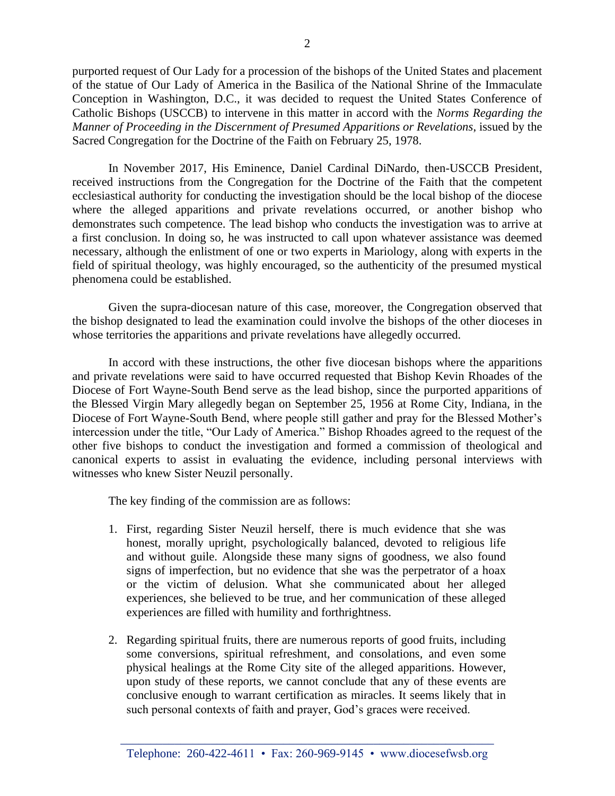purported request of Our Lady for a procession of the bishops of the United States and placement of the statue of Our Lady of America in the Basilica of the National Shrine of the Immaculate Conception in Washington, D.C., it was decided to request the United States Conference of Catholic Bishops (USCCB) to intervene in this matter in accord with the *Norms Regarding the Manner of Proceeding in the Discernment of Presumed Apparitions or Revelations*, issued by the Sacred Congregation for the Doctrine of the Faith on February 25, 1978.

In November 2017, His Eminence, Daniel Cardinal DiNardo, then-USCCB President, received instructions from the Congregation for the Doctrine of the Faith that the competent ecclesiastical authority for conducting the investigation should be the local bishop of the diocese where the alleged apparitions and private revelations occurred, or another bishop who demonstrates such competence. The lead bishop who conducts the investigation was to arrive at a first conclusion. In doing so, he was instructed to call upon whatever assistance was deemed necessary, although the enlistment of one or two experts in Mariology, along with experts in the field of spiritual theology, was highly encouraged, so the authenticity of the presumed mystical phenomena could be established.

Given the supra-diocesan nature of this case, moreover, the Congregation observed that the bishop designated to lead the examination could involve the bishops of the other dioceses in whose territories the apparitions and private revelations have allegedly occurred.

In accord with these instructions, the other five diocesan bishops where the apparitions and private revelations were said to have occurred requested that Bishop Kevin Rhoades of the Diocese of Fort Wayne-South Bend serve as the lead bishop, since the purported apparitions of the Blessed Virgin Mary allegedly began on September 25, 1956 at Rome City, Indiana, in the Diocese of Fort Wayne-South Bend, where people still gather and pray for the Blessed Mother's intercession under the title, "Our Lady of America." Bishop Rhoades agreed to the request of the other five bishops to conduct the investigation and formed a commission of theological and canonical experts to assist in evaluating the evidence, including personal interviews with witnesses who knew Sister Neuzil personally.

The key finding of the commission are as follows:

- 1. First, regarding Sister Neuzil herself, there is much evidence that she was honest, morally upright, psychologically balanced, devoted to religious life and without guile. Alongside these many signs of goodness, we also found signs of imperfection, but no evidence that she was the perpetrator of a hoax or the victim of delusion. What she communicated about her alleged experiences, she believed to be true, and her communication of these alleged experiences are filled with humility and forthrightness.
- 2. Regarding spiritual fruits, there are numerous reports of good fruits, including some conversions, spiritual refreshment, and consolations, and even some physical healings at the Rome City site of the alleged apparitions. However, upon study of these reports, we cannot conclude that any of these events are conclusive enough to warrant certification as miracles. It seems likely that in such personal contexts of faith and prayer, God's graces were received.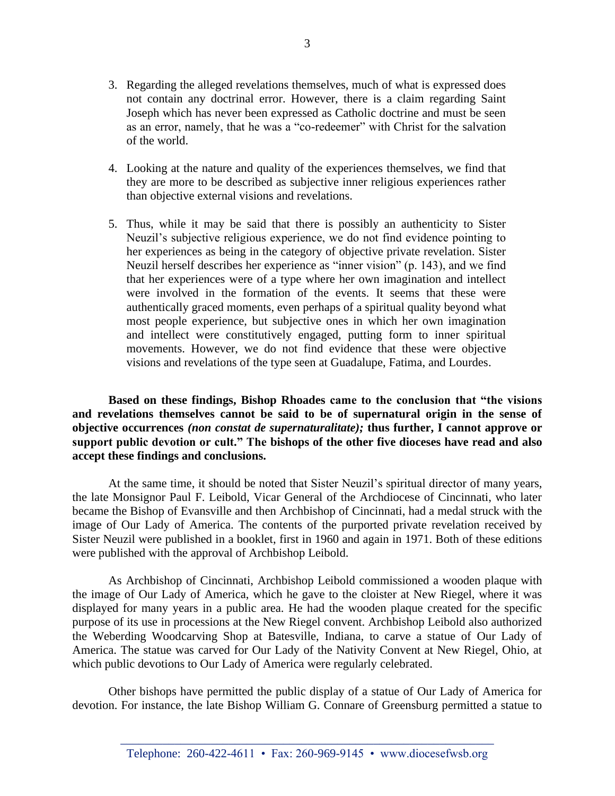- 3. Regarding the alleged revelations themselves, much of what is expressed does not contain any doctrinal error. However, there is a claim regarding Saint Joseph which has never been expressed as Catholic doctrine and must be seen as an error, namely, that he was a "co-redeemer" with Christ for the salvation of the world.
- 4. Looking at the nature and quality of the experiences themselves, we find that they are more to be described as subjective inner religious experiences rather than objective external visions and revelations.
- 5. Thus, while it may be said that there is possibly an authenticity to Sister Neuzil's subjective religious experience, we do not find evidence pointing to her experiences as being in the category of objective private revelation. Sister Neuzil herself describes her experience as "inner vision" (p. 143), and we find that her experiences were of a type where her own imagination and intellect were involved in the formation of the events. It seems that these were authentically graced moments, even perhaps of a spiritual quality beyond what most people experience, but subjective ones in which her own imagination and intellect were constitutively engaged, putting form to inner spiritual movements. However, we do not find evidence that these were objective visions and revelations of the type seen at Guadalupe, Fatima, and Lourdes.

**Based on these findings, Bishop Rhoades came to the conclusion that "the visions and revelations themselves cannot be said to be of supernatural origin in the sense of objective occurrences** *(non constat de supernaturalitate);* **thus further, I cannot approve or support public devotion or cult." The bishops of the other five dioceses have read and also accept these findings and conclusions.**

At the same time, it should be noted that Sister Neuzil's spiritual director of many years, the late Monsignor Paul F. Leibold, Vicar General of the Archdiocese of Cincinnati, who later became the Bishop of Evansville and then Archbishop of Cincinnati, had a medal struck with the image of Our Lady of America. The contents of the purported private revelation received by Sister Neuzil were published in a booklet, first in 1960 and again in 1971. Both of these editions were published with the approval of Archbishop Leibold.

As Archbishop of Cincinnati, Archbishop Leibold commissioned a wooden plaque with the image of Our Lady of America, which he gave to the cloister at New Riegel, where it was displayed for many years in a public area. He had the wooden plaque created for the specific purpose of its use in processions at the New Riegel convent. Archbishop Leibold also authorized the Weberding Woodcarving Shop at Batesville, Indiana, to carve a statue of Our Lady of America. The statue was carved for Our Lady of the Nativity Convent at New Riegel, Ohio, at which public devotions to Our Lady of America were regularly celebrated.

Other bishops have permitted the public display of a statue of Our Lady of America for devotion. For instance, the late Bishop William G. Connare of Greensburg permitted a statue to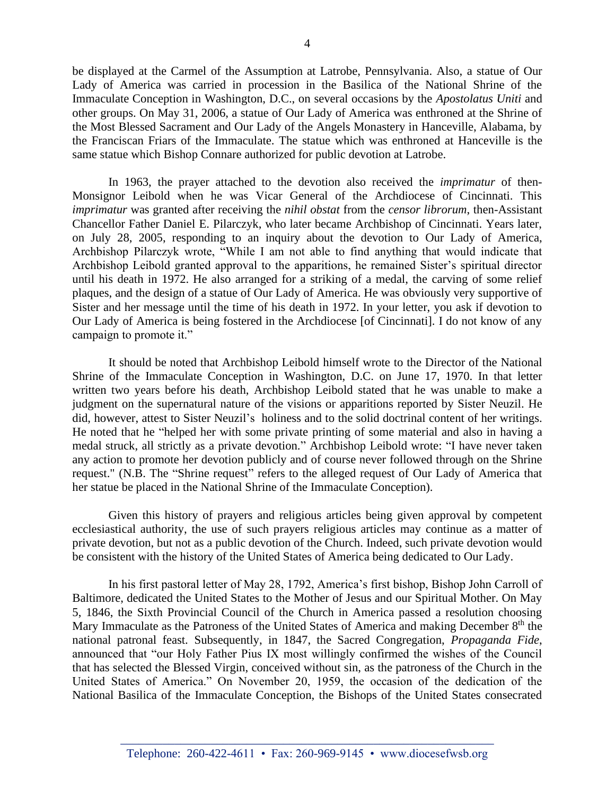be displayed at the Carmel of the Assumption at Latrobe, Pennsylvania. Also, a statue of Our Lady of America was carried in procession in the Basilica of the National Shrine of the Immaculate Conception in Washington, D.C., on several occasions by the *Apostolatus Uniti* and other groups. On May 31, 2006, a statue of Our Lady of America was enthroned at the Shrine of the Most Blessed Sacrament and Our Lady of the Angels Monastery in Hanceville, Alabama, by the Franciscan Friars of the Immaculate. The statue which was enthroned at Hanceville is the same statue which Bishop Connare authorized for public devotion at Latrobe.

In 1963, the prayer attached to the devotion also received the *imprimatur* of then-Monsignor Leibold when he was Vicar General of the Archdiocese of Cincinnati. This *imprimatur* was granted after receiving the *nihil obstat* from the *censor librorum*, then-Assistant Chancellor Father Daniel E. Pilarczyk, who later became Archbishop of Cincinnati. Years later, on July 28, 2005, responding to an inquiry about the devotion to Our Lady of America, Archbishop Pilarczyk wrote, "While I am not able to find anything that would indicate that Archbishop Leibold granted approval to the apparitions, he remained Sister's spiritual director until his death in 1972. He also arranged for a striking of a medal, the carving of some relief plaques, and the design of a statue of Our Lady of America. He was obviously very supportive of Sister and her message until the time of his death in 1972. In your letter, you ask if devotion to Our Lady of America is being fostered in the Archdiocese [of Cincinnati]. I do not know of any campaign to promote it."

It should be noted that Archbishop Leibold himself wrote to the Director of the National Shrine of the Immaculate Conception in Washington, D.C. on June 17, 1970. In that letter written two years before his death, Archbishop Leibold stated that he was unable to make a judgment on the supernatural nature of the visions or apparitions reported by Sister Neuzil. He did, however, attest to Sister Neuzil's holiness and to the solid doctrinal content of her writings. He noted that he "helped her with some private printing of some material and also in having a medal struck, all strictly as a private devotion." Archbishop Leibold wrote: "I have never taken any action to promote her devotion publicly and of course never followed through on the Shrine request." (N.B. The "Shrine request" refers to the alleged request of Our Lady of America that her statue be placed in the National Shrine of the Immaculate Conception).

Given this history of prayers and religious articles being given approval by competent ecclesiastical authority, the use of such prayers religious articles may continue as a matter of private devotion, but not as a public devotion of the Church. Indeed, such private devotion would be consistent with the history of the United States of America being dedicated to Our Lady.

In his first pastoral letter of May 28, 1792, America's first bishop, Bishop John Carroll of Baltimore, dedicated the United States to the Mother of Jesus and our Spiritual Mother. On May 5, 1846, the Sixth Provincial Council of the Church in America passed a resolution choosing Mary Immaculate as the Patroness of the United States of America and making December 8<sup>th</sup> the national patronal feast. Subsequently, in 1847, the Sacred Congregation, *Propaganda Fide*, announced that "our Holy Father Pius IX most willingly confirmed the wishes of the Council that has selected the Blessed Virgin, conceived without sin, as the patroness of the Church in the United States of America." On November 20, 1959, the occasion of the dedication of the National Basilica of the Immaculate Conception, the Bishops of the United States consecrated